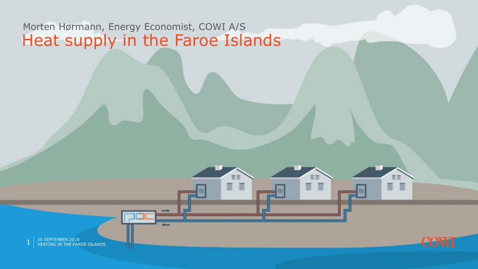#### Heat supply in the Faroe Islands Morten Hørmann, Energy Economist, COWI A/S

ш

п

п

ΠT  $\blacksquare$ 



n n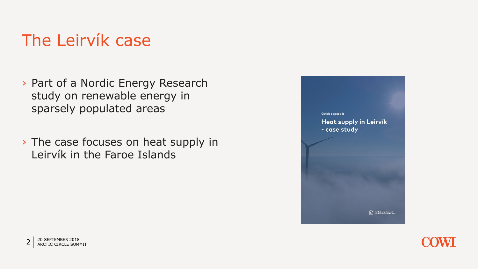## The Leirvík case

- › Part of a Nordic Energy Research study on renewable energy in sparsely populated areas
- › The case focuses on heat supply in Leirvík in the Faroe Islands





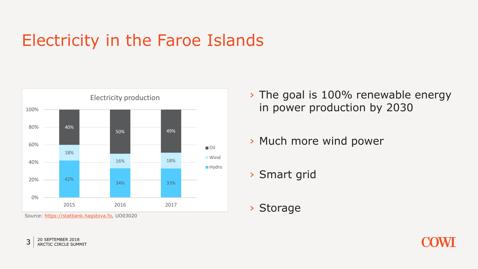## Electricity in the Faroe Islands



Source: [https://statbank.hagstova.fo,](https://statbank.hagstova.fo/) UO03020

› The goal is 100% renewable energy in power production by 2030

› Much more wind power

› Smart grid

› Storage



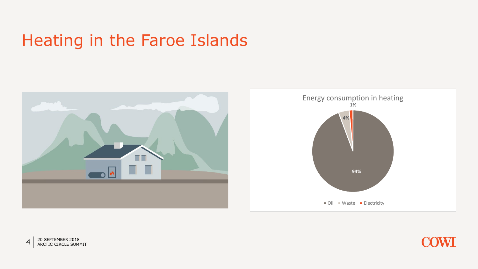### Heating in the Faroe Islands





 $4\overline{20}$  SEPTEMBER 2018<br>ARCTIC CIRCLE SUMMIT

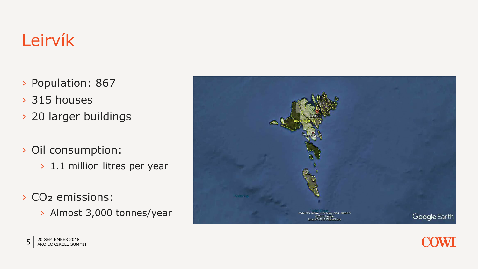# Leirvík

- › Population: 867
- › 315 houses
- › 20 larger buildings
- › Oil consumption:
	- › 1.1 million litres per year
- › CO₂ emissions:
	- › Almost 3,000 tonnes/year



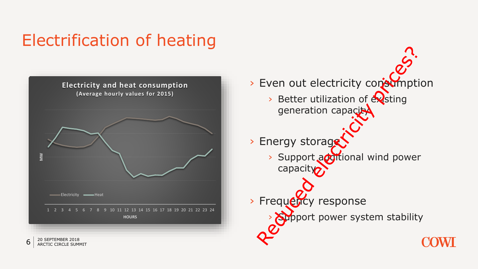## Electrification of heating



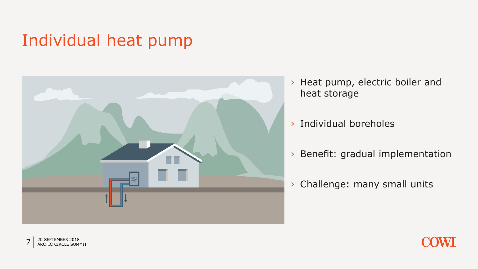## Individual heat pump



- › Heat pump, electric boiler and heat storage
- › Individual boreholes
- › Benefit: gradual implementation
- › Challenge: many small units



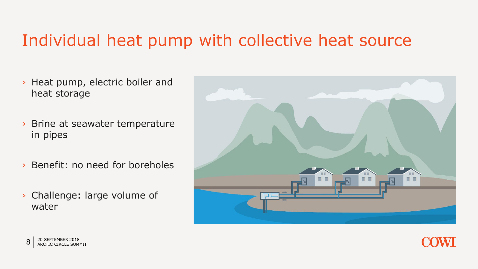#### Individual heat pump with collective heat source

- › Heat pump, electric boiler and heat storage
- › Brine at seawater temperature in pipes
- › Benefit: no need for boreholes
- › Challenge: large volume of water





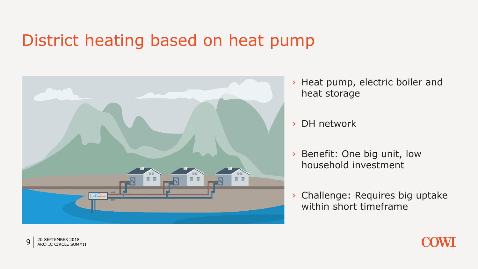#### District heating based on heat pump



- › Heat pump, electric boiler and heat storage
- › DH network
- › Benefit: One big unit, low household investment
- › Challenge: Requires big uptake within short timeframe



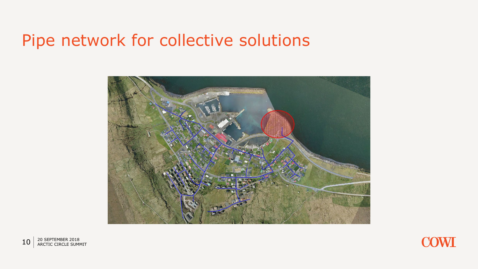#### Pipe network for collective solutions





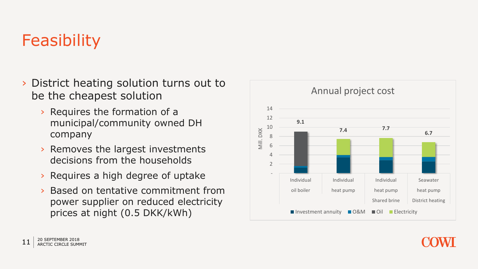# **Feasibility**

- › District heating solution turns out to be the cheapest solution
	- › Requires the formation of a municipal/community owned DH company
	- › Removes the largest investments decisions from the households
	- › Requires a high degree of uptake
	- › Based on tentative commitment from power supplier on reduced electricity prices at night (0.5 DKK/kWh)



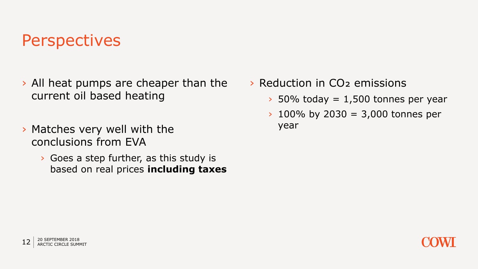#### **Perspectives**

- › All heat pumps are cheaper than the current oil based heating
- › Matches very well with the conclusions from EVA
	- › Goes a step further, as this study is based on real prices **including taxes**
- › Reduction in CO₂ emissions
	- $\rightarrow$  50% today = 1,500 tonnes per year
	- $\rightarrow$  100% by 2030 = 3,000 tonnes per year